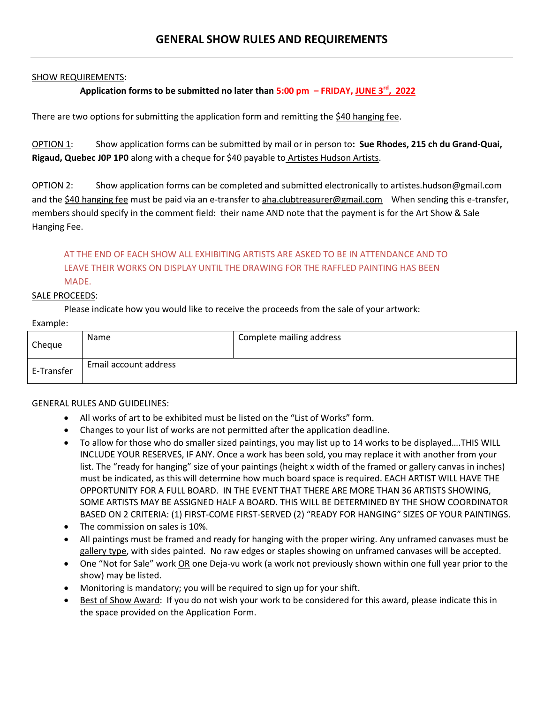### SHOW REQUIREMENTS:

# **Application forms to be submitted no later than 5:00 pm – FRIDAY, JUNE 3rd, 2022**

There are two options for submitting the application form and remitting the \$40 hanging fee.

OPTION 1: Show application forms can be submitted by mail or in person to**: Sue Rhodes, 215 ch du Grand-Quai, Rigaud, Quebec J0P 1P0** along with a cheque for \$40 payable to Artistes Hudson Artists.

OPTION 2: Show application forms can be completed and submitted electronically to artistes.hudson@gmail.com and the \$40 hanging fee must be paid via an e-transfer to aha.clubtreasurer@gmail.com When sending this e-transfer, members should specify in the comment field: their name AND note that the payment is for the Art Show & Sale Hanging Fee.

# AT THE END OF EACH SHOW ALL EXHIBITING ARTISTS ARE ASKED TO BE IN ATTENDANCE AND TO LEAVE THEIR WORKS ON DISPLAY UNTIL THE DRAWING FOR THE RAFFLED PAINTING HAS BEEN MADE.

#### SALE PROCEEDS:

Please indicate how you would like to receive the proceeds from the sale of your artwork:

#### Example:

| Cheque     | <b>Name</b>           | Complete mailing address |
|------------|-----------------------|--------------------------|
| E-Transfer | Email account address |                          |

### GENERAL RULES AND GUIDELINES:

- All works of art to be exhibited must be listed on the "List of Works" form.
- Changes to your list of works are not permitted after the application deadline.
- To allow for those who do smaller sized paintings, you may list up to 14 works to be displayed….THIS WILL INCLUDE YOUR RESERVES, IF ANY. Once a work has been sold, you may replace it with another from your list. The "ready for hanging" size of your paintings (height x width of the framed or gallery canvas in inches) must be indicated, as this will determine how much board space is required. EACH ARTIST WILL HAVE THE OPPORTUNITY FOR A FULL BOARD. IN THE EVENT THAT THERE ARE MORE THAN 36 ARTISTS SHOWING, SOME ARTISTS MAY BE ASSIGNED HALF A BOARD. THIS WILL BE DETERMINED BY THE SHOW COORDINATOR BASED ON 2 CRITERIA: (1) FIRST-COME FIRST-SERVED (2) "READY FOR HANGING" SIZES OF YOUR PAINTINGS.
- The commission on sales is 10%.
- All paintings must be framed and ready for hanging with the proper wiring. Any unframed canvases must be gallery type, with sides painted. No raw edges or staples showing on unframed canvases will be accepted.
- One "Not for Sale" work OR one Deja-vu work (a work not previously shown within one full year prior to the show) may be listed.
- Monitoring is mandatory; you will be required to sign up for your shift.
- Best of Show Award: If you do not wish your work to be considered for this award, please indicate this in the space provided on the Application Form.